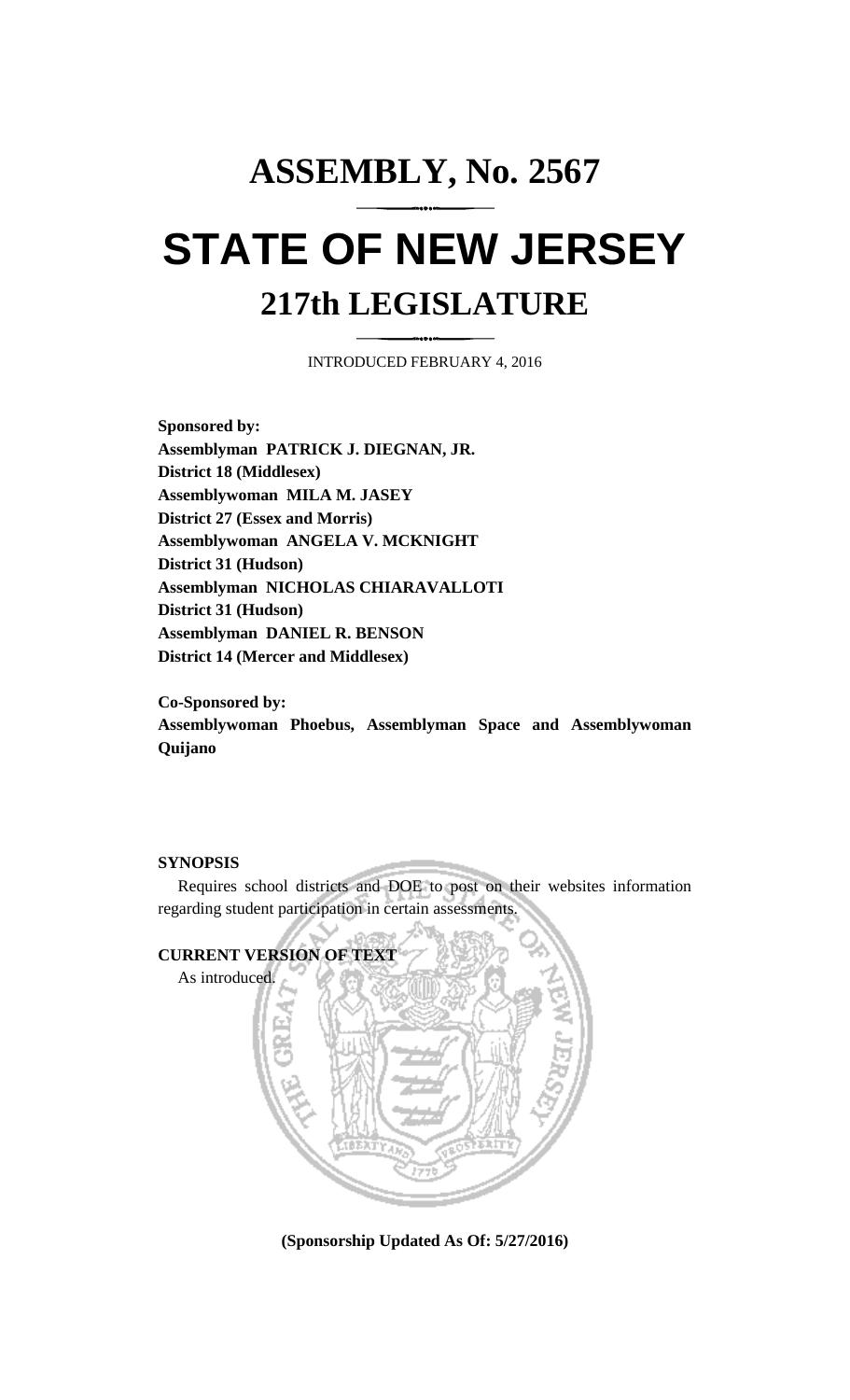## **ASSEMBLY, No. 2567 STATE OF NEW JERSEY 217th LEGISLATURE**

INTRODUCED FEBRUARY 4, 2016

**Sponsored by: Assemblyman PATRICK J. DIEGNAN, JR. District 18 (Middlesex) Assemblywoman MILA M. JASEY District 27 (Essex and Morris) Assemblywoman ANGELA V. MCKNIGHT District 31 (Hudson) Assemblyman NICHOLAS CHIARAVALLOTI District 31 (Hudson) Assemblyman DANIEL R. BENSON District 14 (Mercer and Middlesex)**

**Co-Sponsored by:**

**Assemblywoman Phoebus, Assemblyman Space and Assemblywoman Quijano**

## **SYNOPSIS**

Requires school districts and DOE to post on their websites information regarding student participation in certain assessments.



**(Sponsorship Updated As Of: 5/27/2016)**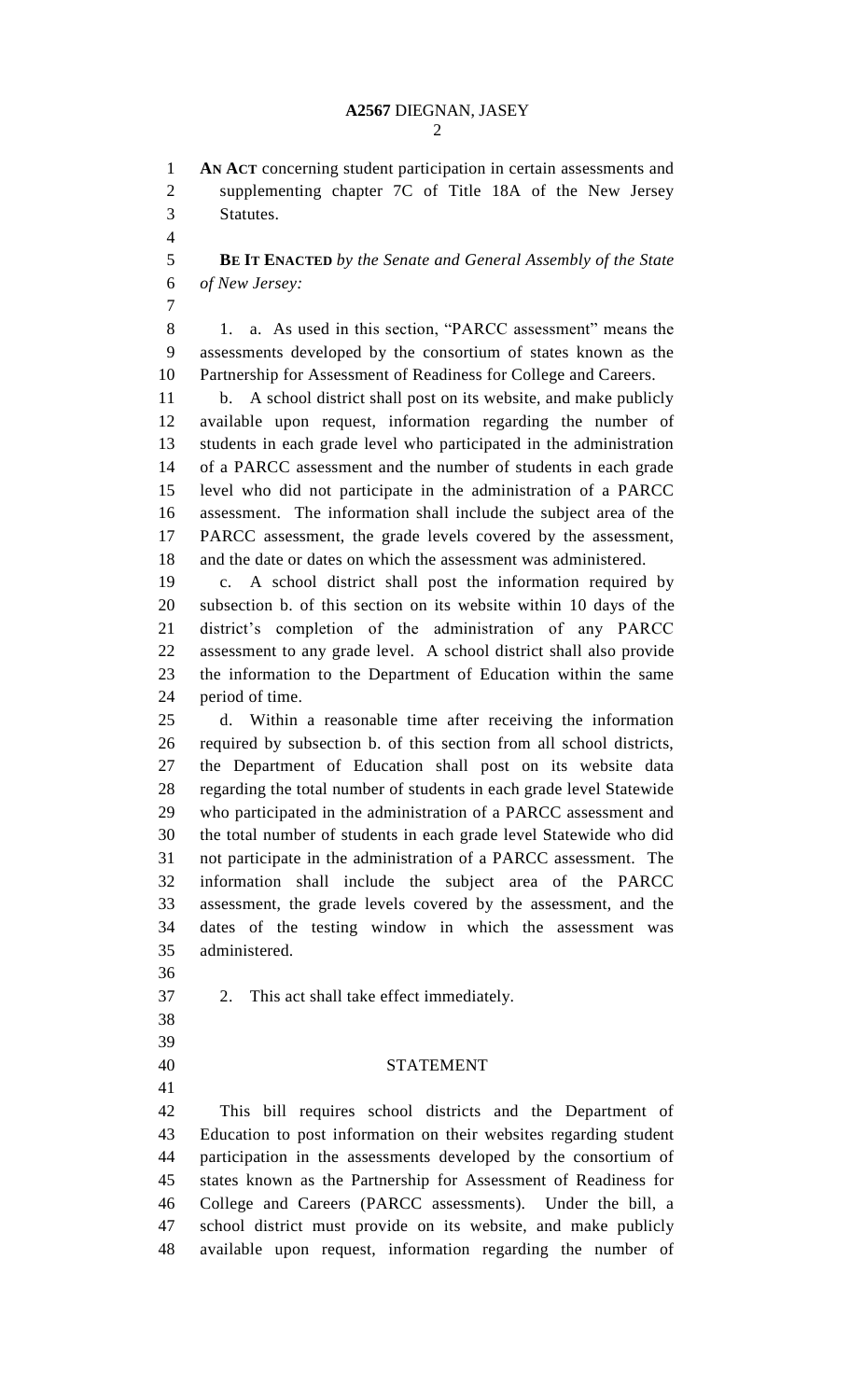**AN ACT** concerning student participation in certain assessments and supplementing chapter 7C of Title 18A of the New Jersey Statutes.

 **BE IT ENACTED** *by the Senate and General Assembly of the State of New Jersey:*

8 1. a. As used in this section, "PARCC assessment" means the assessments developed by the consortium of states known as the Partnership for Assessment of Readiness for College and Careers.

 b. A school district shall post on its website, and make publicly available upon request, information regarding the number of students in each grade level who participated in the administration of a PARCC assessment and the number of students in each grade level who did not participate in the administration of a PARCC assessment. The information shall include the subject area of the PARCC assessment, the grade levels covered by the assessment, and the date or dates on which the assessment was administered.

 c. A school district shall post the information required by subsection b. of this section on its website within 10 days of the district's completion of the administration of any PARCC assessment to any grade level. A school district shall also provide the information to the Department of Education within the same period of time.

 d. Within a reasonable time after receiving the information required by subsection b. of this section from all school districts, the Department of Education shall post on its website data regarding the total number of students in each grade level Statewide who participated in the administration of a PARCC assessment and the total number of students in each grade level Statewide who did not participate in the administration of a PARCC assessment. The information shall include the subject area of the PARCC assessment, the grade levels covered by the assessment, and the dates of the testing window in which the assessment was administered.

- 
- 2. This act shall take effect immediately.
- 
- 
- 

## STATEMENT

 This bill requires school districts and the Department of Education to post information on their websites regarding student participation in the assessments developed by the consortium of states known as the Partnership for Assessment of Readiness for College and Careers (PARCC assessments). Under the bill, a school district must provide on its website, and make publicly available upon request, information regarding the number of